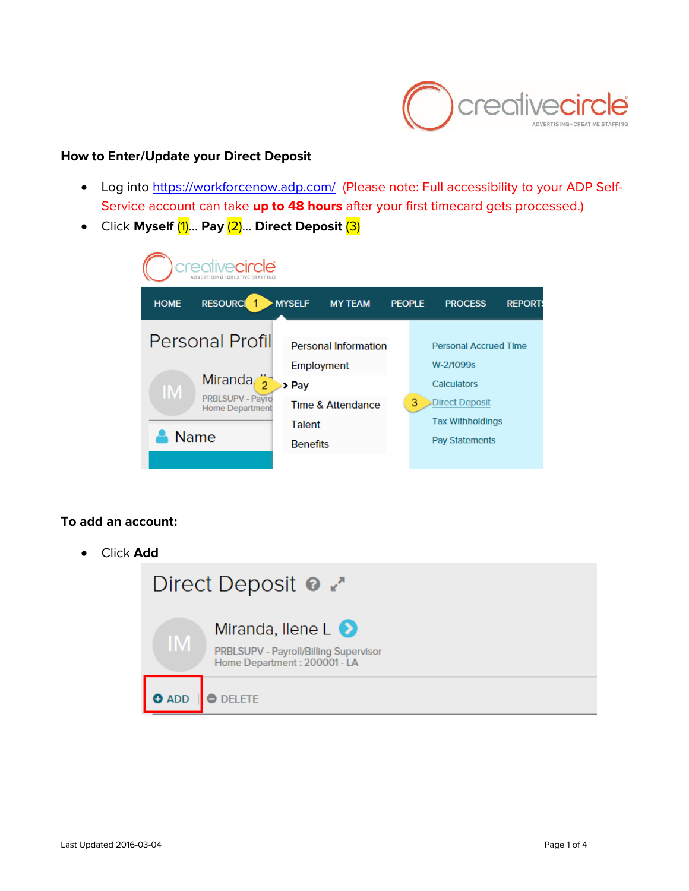

## **How to Enter/Update your Direct Deposit**

- Log into<https://workforcenow.adp.com/> (Please note: Full accessibility to your ADP Self-Service account can take **up to 48 hours** after your first timecard gets processed.)
- Click **Myself** (1)… **Pay** (2)… **Direct Deposit** (3)



## **To add an account:**

Click **Add**

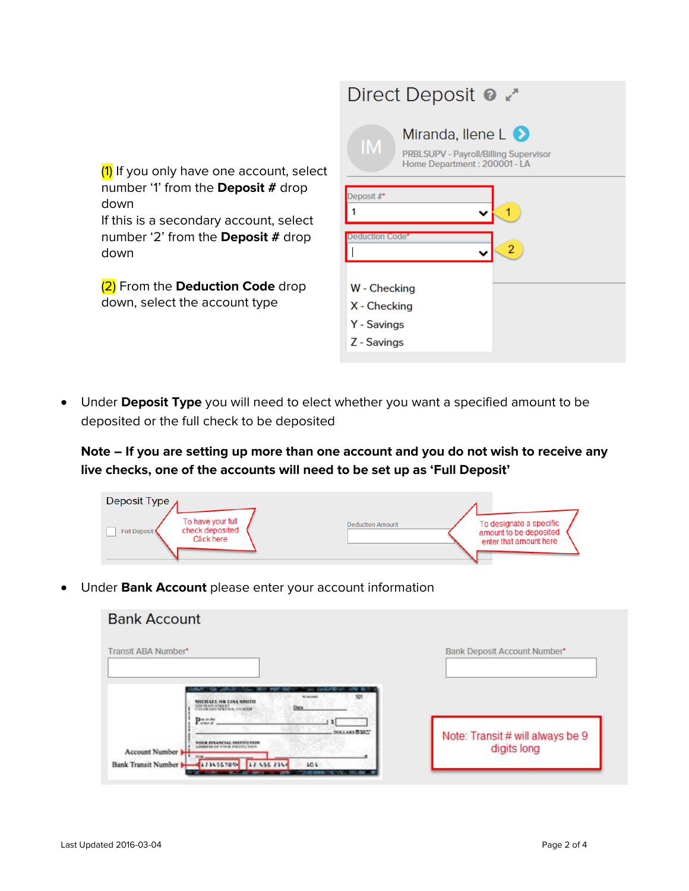|                                                                                                                                                                                              | Direct Deposit <b>@</b> 2                                                                                          |
|----------------------------------------------------------------------------------------------------------------------------------------------------------------------------------------------|--------------------------------------------------------------------------------------------------------------------|
| (1) If you only have one account, select<br>number '1' from the <b>Deposit</b> # drop<br>down<br>If this is a secondary account, select<br>number '2' from the <b>Deposit</b> # drop<br>down | Miranda, llene $L$ $\bullet$<br><b>IM</b><br>PRBLSUPV - Payroll/Billing Supervisor<br>Home Department: 200001 - LA |
|                                                                                                                                                                                              | Deposit#*<br>duction Code*                                                                                         |
| (2) From the Deduction Code drop<br>down, select the account type                                                                                                                            | W - Checking<br>X - Checking<br>Y - Savings<br>Z - Savings                                                         |

 Under **Deposit Type** you will need to elect whether you want a specified amount to be deposited or the full check to be deposited

**Note – If you are setting up more than one account and you do not wish to receive any live checks, one of the accounts will need to be set up as 'Full Deposit'**

| Deposit Type $\lambda$                                             |                         |                                                                             |
|--------------------------------------------------------------------|-------------------------|-----------------------------------------------------------------------------|
| To have your full<br>check deposited<br>Full Deposit<br>Click here | <b>Deduction Amount</b> | To designate a specific<br>amount to be deposited<br>enter that amount here |

Under **Bank Account** please enter your account information

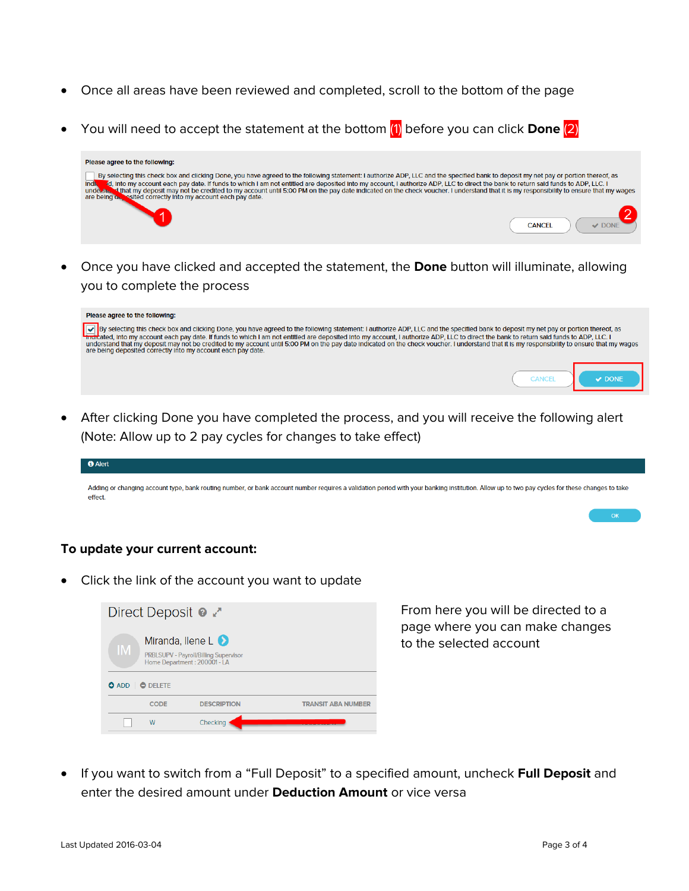- Once all areas have been reviewed and completed, scroll to the bottom of the page
- You will need to accept the statement at the bottom (1) before you can click **Done** (2)



 Once you have clicked and accepted the statement, the **Done** button will illuminate, allowing you to complete the process

| Please agree to the following:                                                                                                                                                                                                                                                                                                                                                                                                                                                                 |  |
|------------------------------------------------------------------------------------------------------------------------------------------------------------------------------------------------------------------------------------------------------------------------------------------------------------------------------------------------------------------------------------------------------------------------------------------------------------------------------------------------|--|
| By selecting this check box and clicking Done, you have agreed to the following statement: I authorize ADP, LLC and the specified bank to deposit my net pay or portion thereof, as interacted, into my account each pay date.<br>understand that my deposit may not be credited to my account until 5:00 PM on the pay date indicated on the check voucher. I understand that it is my responsibility to ensure that my wages<br>are being deposited correctly into my account each pay date. |  |
|                                                                                                                                                                                                                                                                                                                                                                                                                                                                                                |  |

 After clicking Done you have completed the process, and you will receive the following alert (Note: Allow up to 2 pay cycles for changes to take effect)

| <b>C</b> Alert                                                                                                                                                                                           |
|----------------------------------------------------------------------------------------------------------------------------------------------------------------------------------------------------------|
|                                                                                                                                                                                                          |
| Adding or changing account type, bank routing number, or bank account number requires a validation period with your banking institution. Allow up to two pay cycles for these changes to take<br>effect. |

## **To update your current account:**

Click the link of the account you want to update



From here you will be directed to a page where you can make changes to the selected account

 If you want to switch from a "Full Deposit" to a specified amount, uncheck **Full Deposit** and enter the desired amount under **Deduction Amount** or vice versa